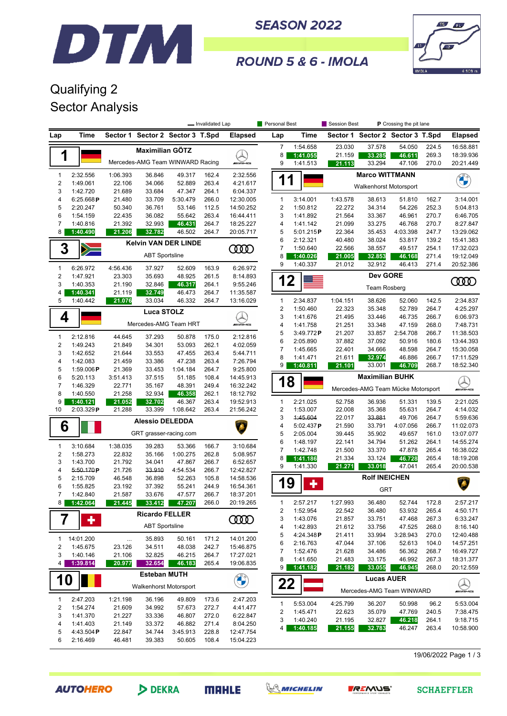

**SEASON 2022** 



### ROUND 5 & 6 - IMOLA

## Qualifying 2 Sector Analysis

|                                         |                                            |                       |                        |                                  | - Invalidated Lap  |                                                      | Personal Best           |                      | Session Best       |                               | P Crossing the pit lane            |                |                        |
|-----------------------------------------|--------------------------------------------|-----------------------|------------------------|----------------------------------|--------------------|------------------------------------------------------|-------------------------|----------------------|--------------------|-------------------------------|------------------------------------|----------------|------------------------|
| Lap                                     | Time                                       |                       |                        | Sector 1 Sector 2 Sector 3 T.Spd |                    | <b>Elapsed</b>                                       | Lap                     | Time                 |                    |                               | Sector 1 Sector 2 Sector 3 T.Spd   |                | <b>Elapsed</b>         |
|                                         |                                            |                       | <b>Maximilian GÖTZ</b> |                                  |                    |                                                      | 7                       | 1:54.658             | 23.030             | 37.578                        | 54.050                             | 224.5          | 16:58.881              |
| 1                                       |                                            |                       |                        |                                  |                    |                                                      | 8                       | 1:41.055             | 21.159             | 33.285                        | 46.611                             | 269.3          | 18:39.936              |
|                                         |                                            |                       |                        | Mercedes-AMG Team WINWARD Racing |                    | <i><b>INNERVIEW</b></i>                              | 9                       | 1:41.513             | 21.113             | 33.294                        | 47.106                             | 270.0          | 20:21.449              |
| $\mathbf{1}$                            | 2:32.556                                   | 1:06.393              | 36.846                 | 49.317                           | 162.4              | 2:32.556                                             | 11                      |                      |                    | <b>Marco WITTMANN</b>         |                                    |                | <b>CHANGE</b>          |
| $\sqrt{2}$                              | 1:49.061                                   | 22.106                | 34.066                 | 52.889                           | 263.4              | 4:21.617                                             |                         |                      |                    | <b>Walkenhorst Motorsport</b> |                                    |                |                        |
| 3<br>4                                  | 1:42.720<br>6:25.668 $P$                   | 21.689<br>21.480      | 33.684<br>33.709       | 47.347<br>5:30.479               | 264.1<br>266.0     | 6:04.337<br>12:30.005                                | $\mathbf{1}$            | 3:14.001             | 1:43.578           | 38.613                        | 51.810                             | 162.7          | 3:14.001               |
| 5                                       | 2:20.247                                   | 50.340                | 36.761                 | 53.146                           | 112.5              | 14:50.252                                            | 2                       | 1:50.812             | 22.272             | 34.314                        | 54.226                             | 252.3          | 5:04.813               |
| 6                                       | 1:54.159                                   | 22.435                | 36.082                 | 55.642                           | 263.4              | 16:44.411                                            | 3                       | 1:41.892             | 21.564             | 33.367                        | 46.961                             | 270.7          | 6:46.705               |
| 7                                       | 1:40.816                                   | 21.392                | 32.993                 | 46.431                           | 264.7              | 18:25.227                                            | 4                       | 1:41.142             | 21.099             | 33.275                        | 46.768                             | 270.7          | 8:27.847               |
| 8                                       | 1:40.490                                   | 21.206                | 32.782                 | 46.502                           | 264.7              | 20:05.717                                            | 5                       | 5:01.215P            | 22.364             | 35.453                        | 4:03.398                           | 247.7          | 13:29.062              |
| 3                                       |                                            |                       |                        | <b>Kelvin VAN DER LINDE</b>      |                    | ŒŒ                                                   | 6<br>7                  | 2:12.321<br>1:50.640 | 40.480<br>22.566   | 38.024<br>38.557              | 53.817<br>49.517                   | 139.2<br>254.1 | 15:41.383<br>17:32.023 |
|                                         | $\geqslant$                                | <b>ABT Sportsline</b> |                        |                                  |                    |                                                      | 8                       | 1:40.026             | 21.005             | 32.853                        | 46.168                             | 271.4          | 19:12.049              |
| $\mathbf{1}$                            | 6:26.972                                   | 4:56.436              | 37.927                 | 52.609                           | 163.9              | 6:26.972                                             | 9                       | 1:40.337             | 21.012             | 32.912                        | 46.413                             | 271.4          | 20:52.386              |
| 2                                       | 1:47.921                                   | 23.303                | 35.693                 | 48.925                           | 261.5              | 8:14.893                                             |                         |                      |                    | <b>Dev GORE</b>               |                                    |                |                        |
| 3                                       | 1:40.353                                   | 21.190                | 32.846                 | 46.317                           | 264.1              | 9:55.246                                             | 12                      |                      |                    | <b>Team Rosberg</b>           |                                    |                | ŒŒ                     |
| 4                                       | 1:40.341                                   | 21.119                | 32.749                 | 46.473                           | 264.7              | 11:35.587                                            |                         |                      |                    |                               |                                    |                |                        |
| 5                                       | 1:40.442                                   | 21.076                | 33.034                 | 46.332                           | 264.7              | 13:16.029                                            | 1                       | 2:34.837             | 1:04.151           | 38.626                        | 52.060                             | 142.5          | 2:34.837               |
|                                         |                                            |                       | <b>Luca STOLZ</b>      |                                  |                    |                                                      | 2<br>3                  | 1:50.460<br>1:41.676 | 22.323<br>21.495   | 35.348<br>33.446              | 52.789<br>46.735                   | 264.7<br>266.7 | 4:25.297<br>6:06.973   |
| 4                                       |                                            |                       |                        | Mercedes-AMG Team HRT            |                    | <b>WENE</b>                                          | 4                       | 1:41.758             | 21.251             | 33.348                        | 47.159                             | 268.0          | 7:48.731               |
|                                         |                                            |                       |                        |                                  |                    |                                                      | 5                       | 3:49.772P            | 21.207             | 33.857                        | 2:54.708                           | 266.7          | 11:38.503              |
| $\mathbf{1}$<br>$\overline{\mathbf{c}}$ | 2:12.816<br>1:49.243                       | 44.645<br>21.849      | 37.293<br>34.301       | 50.878<br>53.093                 | 175.0<br>262.1     | 2:12.816<br>4:02.059                                 | 6                       | 2:05.890             | 37.882             | 37.092                        | 50.916                             | 180.6          | 13:44.393              |
| 3                                       | 1:42.652                                   | 21.644                | 33.553                 | 47.455                           | 263.4              | 5:44.711                                             | $\overline{7}$          | 1:45.665             | 22.401             | 34.666                        | 48.598                             | 264.7          | 15:30.058              |
| 4                                       | 1:42.083                                   | 21.459                | 33.386                 | 47.238                           | 263.4              | 7:26.794                                             | 8                       | 1:41.471             | 21.611             | 32.974                        | 46.886                             | 266.7          | 17:11.529              |
| 5                                       | 1:59.006P                                  | 21.369                | 33.453                 | 1:04.184                         | 264.7              | 9:25.800                                             | 9                       | 1:40.811             | 21.101             | 33.001                        | 46.709                             | 268.7          | 18:52.340              |
| 6                                       | 5:20.113                                   | 3:51.413              | 37.515                 | 51.185                           | 108.4              | 14:45.913                                            | 18                      |                      |                    | <b>Maximilian BUHK</b>        |                                    |                |                        |
| $\overline{7}$<br>8                     | 1:46.329<br>1:40.550                       | 22.771<br>21.258      | 35.167<br>32.934       | 48.391<br>46.358                 | 249.4<br>262.1     | 16:32.242<br>18:12.792                               |                         |                      |                    |                               | Mercedes-AMG Team Mücke Motorsport |                | <u>Q</u>               |
| 9                                       | 1:40.121                                   | 21.052                | 32.702                 | 46.367                           | 263.4              | 19:52.913                                            | 1                       | 2:21.025             | 52.758             | 36.936                        | 51.331                             | 139.5          | 2:21.025               |
| 10                                      | 2:03.329P                                  | 21.288                | 33.399                 | 1:08.642                         | 263.4              | 21:56.242                                            | $\overline{\mathbf{c}}$ | 1:53.007             | 22.008             | 35.368                        | 55.631                             | 264.7          | 4:14.032               |
|                                         |                                            |                       | <b>Alessio DELEDDA</b> |                                  |                    |                                                      | 3                       | 1:45.604             | 22.017             | 33.881                        | 49.706                             | 264.7          | 5:59.636               |
| 6                                       |                                            |                       |                        |                                  |                    |                                                      | 4                       | 5:02.437P            | 21.590             | 33.791                        | 4:07.056                           | 266.7          | 11:02.073              |
|                                         |                                            |                       |                        | GRT grasser-racing.com           |                    |                                                      | 5<br>6                  | 2:05.004<br>1:48.197 | 39.445<br>22.141   | 35.902<br>34.794              | 49.657<br>51.262                   | 161.0<br>264.1 | 13:07.077<br>14:55.274 |
| 1                                       | 3:10.684                                   | 1:38.035              | 39.283                 | 53.366                           | 166.7              | 3:10.684                                             | $\overline{7}$          | 1:42.748             | 21.500             | 33.370                        | 47.878                             | 265.4          | 16:38.022              |
| $\sqrt{2}$                              | 1:58.273                                   | 22.832                | 35.166                 | 1:00.275                         | 262.8              | 5:08.957                                             | 8                       | 1:41.186             | 21.334             | 33.124                        | 46.728                             | 265.4          | 18:19.208              |
| 3<br>4                                  | 1:43.700<br>5:50.170P                      | 21.792<br>21.726      | 34.041<br>33.910       | 47.867<br>4:54.534               | 266.7<br>266.7     | 6:52.657<br>12:42.827                                | 9                       | 1:41.330             | 21.271             | 33.018                        | 47.041                             | 265.4          | 20:00.538              |
| 5                                       | 2:15.709                                   | 46.548                | 36.898                 | 52.263                           | 105.8              | 14:58.536                                            |                         |                      |                    | <b>Rolf INEICHEN</b>          |                                    |                |                        |
| 6                                       | 1:55.825                                   | 23.192                | 37.392                 | 55.241                           | 244.9              | 16:54.361                                            | 19                      | ╋                    |                    | <b>GRT</b>                    |                                    |                |                        |
| 7                                       | 1:42.840                                   | 21.587                | 33.676                 | 47.577                           | 266.7              | 18:37.201                                            |                         |                      |                    |                               |                                    |                |                        |
| 8                                       | 1:42.064                                   | 21.445                | 33.412                 | 47.207                           | 266.0              | 20:19.265                                            | 1<br>2                  | 2:57.217<br>1:52.954 | 1:27.993<br>22.542 | 36.480<br>36.480              | 52.744<br>53.932                   | 172.8<br>265.4 | 2:57.217<br>4:50.171   |
| 7                                       | ٠                                          |                       | <b>Ricardo FELLER</b>  |                                  |                    | <b>COOD</b>                                          | 3                       | 1:43.076             | 21.857             | 33.751                        | 47.468                             | 267.3          | 6:33.247               |
|                                         |                                            |                       | <b>ABT Sportsline</b>  |                                  |                    |                                                      | 4                       | 1:42.893             | 21.612             | 33.756                        | 47.525                             | 268.0          | 8:16.140               |
| 1                                       | 14:01.200                                  | $\cdots$              | 35.893                 | 50.161                           | 171.2              | 14:01.200                                            | 5                       | 4:24.348P            | 21.411             | 33.994                        | 3:28.943                           | 270.0          | 12:40.488              |
| 2                                       | 1:45.675                                   | 23.126                | 34.511                 | 48.038                           | 242.7              | 15:46.875                                            | 6                       | 2:16.763             | 47.044             | 37.106                        | 52.613                             | 104.0          | 14:57.251              |
| 3                                       | 1:40.146                                   | 21.106                | 32.825                 | 46.215                           | 264.7              | 17:27.021                                            | 7<br>8                  | 1:52.476<br>1:41.650 | 21.628<br>21.483   | 34.486<br>33.175              | 56.362<br>46.992                   | 268.7<br>267.3 | 16:49.727<br>18:31.377 |
| 4                                       | 1:39.814                                   | 20.977                | 32.654                 | 46.183                           | 265.4              | 19:06.835                                            | 9                       | 1:41.182             | 21.182             | 33.055                        | 46.945                             | 268.0          | 20:12.559              |
| <b>Esteban MUTH</b>                     |                                            |                       |                        |                                  |                    |                                                      |                         |                      |                    |                               |                                    |                |                        |
|                                         | <b>10</b><br><b>Walkenhorst Motorsport</b> |                       |                        |                                  | <b>CARL SEARCH</b> | <b>Lucas AUER</b><br>22<br>Mercedes-AMG Team WINWARD |                         |                      |                    |                               | $\blacktriangle$<br>WAME           |                |                        |
| $\mathbf{1}$                            | 2:47.203                                   | 1:21.198              | 36.196                 | 49.809                           | 173.6              | 2:47.203                                             |                         |                      |                    |                               |                                    |                |                        |
| 2                                       | 1:54.274                                   | 21.609                | 34.992                 | 57.673                           | 272.7              | 4:41.477                                             | $\mathbf{1}$            | 5:53.004             | 4:25.799           | 36.207                        | 50.998                             | 96.2           | 5:53.004               |
| 3                                       | 1:41.370                                   | 21.227                | 33.336                 | 46.807                           | 272.0              | 6:22.847                                             | 2<br>3                  | 1:45.471<br>1:40.240 | 22.623             | 35.079                        | 47.769<br>46.218                   | 240.5<br>264.1 | 7:38.475               |
| 4                                       | 1:41.403                                   | 21.149                | 33.372                 | 46.882                           | 271.4              | 8:04.250                                             | 4                       | 1:40.185             | 21.195<br>21.155   | 32.827<br>32.783              | 46.247                             | 263.4          | 9:18.715<br>10:58.900  |
| 5                                       | 4:43.504P                                  | 22.847                | 34.744                 | 3:45.913                         | 228.8              | 12:47.754                                            |                         |                      |                    |                               |                                    |                |                        |
| 6                                       | 2:16.469                                   | 46.481                | 39.383                 | 50.605                           | 108.4              | 15:04.223                                            |                         |                      |                    |                               |                                    |                |                        |

19/06/2022 Page 1 / 3







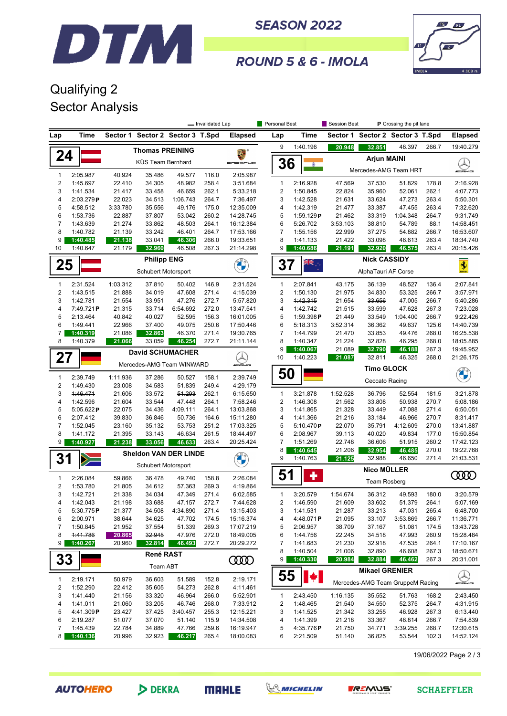

**SEASON 2022** 



### ROUND 5 & 6 - IMOLA

## Qualifying 2 Sector Analysis

|                              |                       |                    |                                  |                    | - Invalidated Lap |                         | Personal Best       |                       | Session Best        |                                  | P Crossing the pit lane |                |                         |
|------------------------------|-----------------------|--------------------|----------------------------------|--------------------|-------------------|-------------------------|---------------------|-----------------------|---------------------|----------------------------------|-------------------------|----------------|-------------------------|
| Lap                          | Time                  |                    | Sector 1 Sector 2 Sector 3 T.Spd |                    |                   | <b>Elapsed</b>          | Lap                 | <b>Time</b>           |                     | Sector 1 Sector 2 Sector 3 T.Spd |                         |                | <b>Elapsed</b>          |
|                              |                       |                    | <b>Thomas PREINING</b>           |                    |                   |                         | 9                   | 1:40.196              | 20.948              | 32.851                           | 46.397                  | 266.7          | 19:40.279               |
| 24                           |                       |                    | KÜS Team Bernhard                |                    |                   | PORSCHE                 | 36                  |                       |                     | <b>Arjun MAINI</b>               |                         |                |                         |
| 1                            | 2:05.987              | 40.924             | 35.486                           | 49.577             | 116.0             | 2:05.987                |                     |                       |                     | Mercedes-AMG Team HRT            |                         |                | WAME                    |
| $\overline{\mathbf{c}}$      | 1:45.697              | 22.410             | 34.305                           | 48.982             | 258.4             | 3:51.684                | $\mathbf{1}$        | 2:16.928              | 47.569              | 37.530                           | 51.829                  | 178.8          | 2:16.928                |
| 3                            | 1:41.534              | 21.417             | 33.458                           | 46.659             | 262.1             | 5:33.218                | $\overline{c}$      | 1:50.845              | 22.824              | 35.960                           | 52.061                  | 262.1          | 4:07.773                |
| 4                            | 2:03.279P             | 22.023             | 34.513                           | 1:06.743           | 264.7             | 7:36.497                | 3                   | 1:42.528              | 21.631              | 33.624                           | 47.273                  | 263.4          | 5:50.301                |
| 5                            | 4:58.512              | 3:33.780           | 35.556                           | 49.176             | 175.0             | 12:35.009               | 4                   | 1:42.319              | 21.477              | 33.387                           | 47.455                  | 263.4          | 7:32.620                |
| 6                            | 1:53.736              | 22.887             | 37.807                           | 53.042             | 260.2             | 14:28.745               | 5                   | 1:59.129P             | 21.462              | 33.319                           | 1:04.348                | 264.7          | 9:31.749                |
| 7                            | 1:43.639<br>1:40.782  | 21.274             | 33.862                           | 48.503             | 264.1             | 16:12.384               | 6<br>$\overline{7}$ | 5:26.702              | 3:53.103            | 38.810                           | 54.789                  | 88.1           | 14:58.451               |
| 8<br>9                       | 1:40.485              | 21.139<br>21.138   | 33.242<br>33.041                 | 46.401<br>46.306   | 264.7<br>266.0    | 17:53.166<br>19:33.651  | 8                   | 1:55.156<br>1:41.133  | 22.999<br>21.422    | 37.275<br>33.098                 | 54.882<br>46.613        | 266.7<br>263.4 | 16:53.607<br>18:34.740  |
| 10                           | 1:40.647              | 21.179             | 32.960                           | 46.508             | 267.3             | 21:14.298               | 9                   | 1:40.686              | 21.191              | 32.920                           | 46.575                  | 263.4          | 20:15.426               |
|                              |                       |                    | <b>Philipp ENG</b>               |                    |                   |                         |                     |                       |                     | <b>Nick CASSIDY</b>              |                         |                |                         |
| 25                           |                       |                    | Schubert Motorsport              |                    |                   |                         | 37                  | W<br>≫k               | AlphaTauri AF Corse |                                  |                         |                | $\overline{\mathbf{3}}$ |
| $\mathbf{1}$                 | 2:31.524              | 1:03.312           | 37.810                           | 50.402             | 146.9             | 2:31.524                | $\mathbf{1}$        | 2:07.841              | 43.175              | 36.139                           | 48.527                  | 136.4          | 2:07.841                |
| 2                            | 1:43.515              | 21.888             | 34.019                           | 47.608             | 271.4             | 4:15.039                | $\mathbf 2$         | 1:50.130              | 21.975              | 34.830                           | 53.325                  | 266.7          | 3:57.971                |
| 3                            | 1:42.781              | 21.554             | 33.951                           | 47.276             | 272.7             | 5:57.820                | 3                   | 1:42.315              | 21.654              | 33.656                           | 47.005                  | 266.7          | 5:40.286                |
| 4<br>5                       | 7:49.721P<br>2:13.464 | 21.315<br>40.842   | 33.714<br>40.027                 | 6:54.692<br>52.595 | 272.0<br>156.3    | 13:47.541<br>16:01.005  | 4<br>5              | 1:42.742<br>1:59.398P | 21.515<br>21.449    | 33.599<br>33.549                 | 47.628<br>1:04.400      | 267.3<br>266.7 | 7:23.028<br>9:22.426    |
| 6                            | 1:49.441              | 22.966             | 37.400                           | 49.075             | 250.6             | 17:50.446               | 6                   | 5:18.313              | 3:52.314            | 36.362                           | 49.637                  | 125.6          | 14:40.739               |
| 7                            | 1:40.319              | 21.086             | 32.863                           | 46.370             | 271.4             | 19:30.765               | 7                   | 1:44.799              | 21.470              | 33.853                           | 49.476                  | 268.0          | 16:25.538               |
| 8                            | 1:40.379              | 21.066             | 33.059                           | 46.254             | 272.7             | 21:11.144               | 8                   | 1:40.347              | 21.224              | 32.828                           | 46.295                  | 268.0          | 18:05.885               |
|                              |                       |                    | <b>David SCHUMACHER</b>          |                    |                   |                         | 9                   | 1:40.067              | 21.089              | 32.790                           | 46.188                  | 267.3          | 19:45.952               |
| 27                           |                       |                    | Mercedes-AMG Team WINWARD        |                    |                   | <i><b>INNERVIEW</b></i> | 10                  | 1:40.223              | 21.087              | 32.811                           | 46.325                  | 268.0          | 21:26.175               |
|                              |                       |                    |                                  |                    |                   |                         | 50                  |                       |                     | <b>Timo GLOCK</b>                |                         |                | <b>ONE</b>              |
| 1<br>$\overline{\mathbf{c}}$ | 2:39.749<br>1:49.430  | 1:11.936<br>23.008 | 37.286<br>34.583                 | 50.527<br>51.839   | 158.1<br>249.4    | 2:39.749<br>4:29.179    |                     |                       |                     | Ceccato Racing                   |                         |                |                         |
| 3                            | 4:46.471              | 21.606             | 33.572                           | 51.293             | 262.1             | 6:15.650                | $\mathbf{1}$        | 3:21.878              | 1:52.528            | 36.796                           | 52.554                  | 181.5          | 3:21.878                |
| 4                            | 1:42.596              | 21.604             | 33.544                           | 47.448             | 264.1             | 7:58.246                | 2                   | 1:46.308              | 21.562              | 33.808                           | 50.938                  | 270.7          | 5:08.186                |
| 5                            | 5:05.622P             | 22.075             | 34.436                           | 4:09.111           | 264.1             | 13:03.868               | 3                   | 1:41.865              | 21.328              | 33.449                           | 47.088                  | 271.4          | 6:50.051                |
| 6                            | 2:07.412              | 39.830             | 36.846                           | 50.736             | 164.6             | 15:11.280               | 4                   | 1:41.366              | 21.216              | 33.184                           | 46.966                  | 270.7          | 8:31.417                |
| $\overline{7}$               | 1:52.045              | 23.160             | 35.132                           | 53.753             | 251.2             | 17:03.325               | 5                   | 5:10.470P             | 22.070              | 35.791                           | 4:12.609                | 270.0          | 13:41.887               |
| 8<br>9                       | 1:41.172<br>1:40.927  | 21.395<br>21.238   | 33.143<br>33.056                 | 46.634<br>46.633   | 261.5<br>263.4    | 18:44.497<br>20:25.424  | 6<br>$\overline{7}$ | 2:08.967<br>1:51.269  | 39.113<br>22.748    | 40.020<br>36.606                 | 49.834<br>51.915        | 177.0<br>260.2 | 15:50.854<br>17:42.123  |
|                              |                       |                    |                                  |                    |                   |                         | 8                   | 1:40.645              | 21.206              | 32.954                           | 46.485                  | 270.0          | 19:22.768               |
| 31                           | $\geq$                |                    | <b>Sheldon VAN DER LINDE</b>     |                    |                   | <b>BALLA</b>            | 9                   | 1:40.763              | 21.125              | 32.988                           | 46.650                  | 271.4          | 21:03.531               |
|                              |                       |                    | Schubert Motorsport              |                    |                   |                         |                     |                       |                     | Nico MÜLLER                      |                         |                |                         |
| $\mathbf{1}$                 | 2:26.084              | 59.866             | 36.478                           | 49.740             | 158.8             | 2:26.084                | 51                  | ٠                     |                     | Team Rosberg                     |                         |                | ന്ത                     |
| 2                            | 1:53.780              | 21.805             | 34.612                           | 57.363             | 269.3             | 4:19.864                |                     |                       |                     |                                  |                         |                |                         |
| 3                            | 1:42.721              | 21.338             | 34.034                           | 47.349<br>47.157   | 271.4             | 6:02.585                | $\mathbf{1}$<br>2   | 3:20.579<br>1:46.590  | 1:54.674<br>21.609  | 36.312<br>33.602                 | 49.593<br>51.379        | 180.0<br>264.1 | 3:20.579<br>5:07.169    |
| 4<br>5                       | 1:42.043<br>5:30.775P | 21.198<br>21.377   | 33.688<br>34.508                 | 4:34.890           | 272.7<br>271.4    | 7:44.628<br>13:15.403   | 3                   | 1:41.531              | 21.287              | 33.213                           | 47.031                  | 265.4          | 6:48.700                |
| 6                            | 2:00.971              | 38.644             | 34.625                           | 47.702             | 174.5             | 15:16.374               | 4                   | 4:48.071P             | 21.095              | 33.107                           | 3:53.869                | 266.7          | 11:36.771               |
| 7                            | 1:50.845              | 21.952             | 37.554                           | 51.339             | 269.3             | 17:07.219               | 5                   | 2:06.957              | 38.709              | 37.167                           | 51.081                  | 174.5          | 13:43.728               |
| 8                            | 4:41.786              | 20.865             | 32.945                           | 47.976             | 272.0             | 18:49.005               | 6                   | 1:44.756              | 22.245              | 34.518                           | 47.993                  | 260.9          | 15:28.484               |
| 9                            | 1:40.267              | 20.960             | 32.814                           | 46.493             | 272.7             | 20:29.272               | 7                   | 1:41.683              | 21.230              | 32.918                           | 47.535                  | 264.1          | 17:10.167               |
| 33                           |                       |                    | <b>René RAST</b>                 |                    |                   | ഝ                       | 8<br>9              | 1:40.504<br>1:40.330  | 21.006<br>20.984    | 32.890<br>32.884                 | 46.608<br>46.462        | 267.3<br>267.3 | 18:50.671<br>20:31.001  |
|                              |                       |                    | Team ABT                         |                    |                   |                         |                     |                       |                     | <b>Mikael GRENIER</b>            |                         |                |                         |
| $\mathbf{1}$                 | 2:19.171              | 50.979             | 36.603                           | 51.589             | 152.8             | 2:19.171                | 55                  | $  \cdot  $           |                     |                                  |                         |                | $\mathbb{Z}$            |
| 2                            | 1:52.290              | 22.412             | 35.605                           | 54.273             | 262.8             | 4:11.461                |                     |                       |                     | Mercedes-AMG Team GruppeM Racing |                         |                | <i><b>MIANG</b></i>     |
| 3                            | 1:41.440              | 21.156             | 33.320                           | 46.964             | 266.0             | 5:52.901                | $\mathbf{1}$        | 2:43.450              | 1:16.135            | 35.552                           | 51.763                  | 168.2          | 2:43.450                |
| 4                            | 1:41.011              | 21.060             | 33.205                           | 46.746             | 268.0             | 7:33.912                | 2                   | 1:48.465              | 21.540              | 34.550                           | 52.375                  | 264.7          | 4:31.915                |
| 5<br>6                       | 4:41.309P<br>2:19.287 | 23.427<br>51.077   | 37.425<br>37.070                 | 3:40.457<br>51.140 | 255.3<br>115.9    | 12:15.221<br>14:34.508  | 3<br>4              | 1:41.525<br>1:41.399  | 21.342<br>21.218    | 33.255<br>33.367                 | 46.928                  | 267.3<br>266.7 | 6:13.440<br>7:54.839    |
| 7                            | 1:45.439              | 22.784             | 34.889                           | 47.766             | 259.6             | 16:19.947               | 5                   | 4:35.776P             | 21.750              | 34.771                           | 46.814<br>3:39.255      | 268.7          | 12:30.615               |
| 8                            | 1:40.136              | 20.996             | 32.923                           | 46.217             | 265.4             | 18:00.083               | 6                   | 2:21.509              | 51.140              | 36.825                           | 53.544                  | 102.3          | 14:52.124               |
|                              |                       |                    |                                  |                    |                   |                         |                     |                       |                     |                                  |                         |                |                         |

19/06/2022 Page 2 / 3



DEKRA